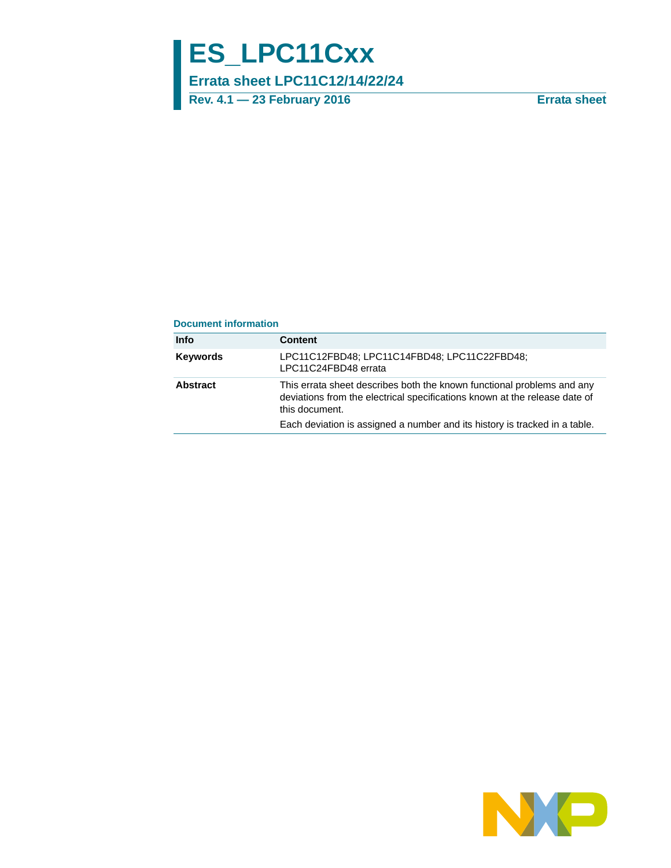# **ES\_LPC11Cxx**

**Errata sheet LPC11C12/14/22/24**

**Rev. 4.1 — 23 February 2016 Errata sheet**

#### **Document information**

| Info            | <b>Content</b>                                                                                                                                                         |
|-----------------|------------------------------------------------------------------------------------------------------------------------------------------------------------------------|
| <b>Keywords</b> | LPC11C12FBD48; LPC11C14FBD48; LPC11C22FBD48;<br>LPC11C24FBD48 errata                                                                                                   |
| Abstract        | This errata sheet describes both the known functional problems and any<br>deviations from the electrical specifications known at the release date of<br>this document. |
|                 | Each deviation is assigned a number and its history is tracked in a table.                                                                                             |

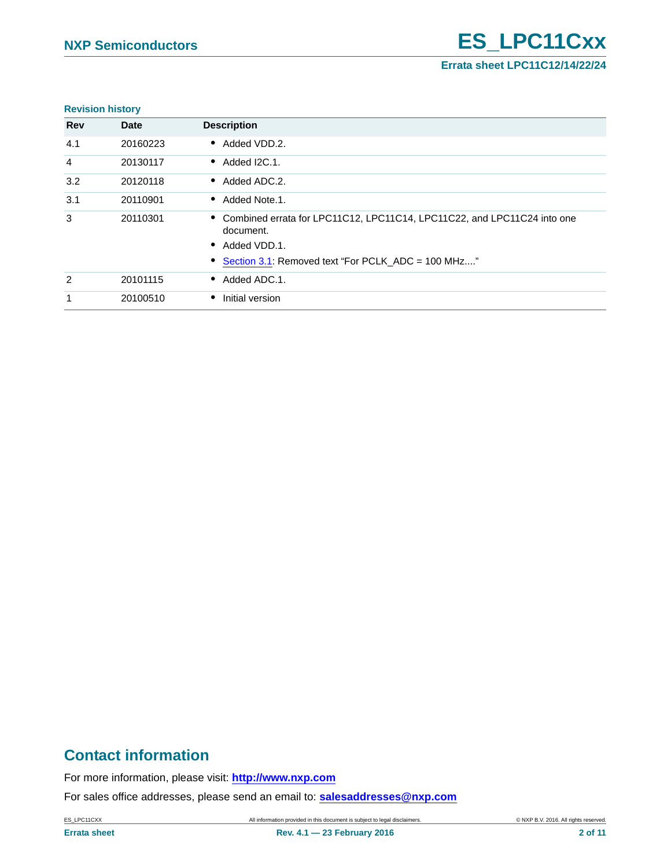**Errata sheet LPC11C12/14/22/24**

#### **Revision history**

| <b>Rev</b>     | <b>Date</b> | <b>Description</b>                                                                     |
|----------------|-------------|----------------------------------------------------------------------------------------|
| 4.1            | 20160223    | • Added VDD.2.                                                                         |
| 4              | 20130117    | $\bullet$ Added I2C.1.                                                                 |
| 3.2            | 20120118    | • Added ADC.2.                                                                         |
| 3.1            | 20110901    | • Added Note.1.                                                                        |
| 3              | 20110301    | • Combined errata for LPC11C12, LPC11C14, LPC11C22, and LPC11C24 into one<br>document. |
|                |             | Added VDD.1.<br>$\bullet$                                                              |
|                |             | • Section 3.1: Removed text "For PCLK ADC = 100 MHz"                                   |
| $\overline{2}$ | 20101115    | • Added ADC.1.                                                                         |
| 1              | 20100510    | Initial version                                                                        |

# **Contact information**

For more information, please visit: **http://www.nxp.com**

For sales office addresses, please send an email to: **salesaddresses@nxp.com**

ES\_LPC11CXX All information provided in this document is subject to legal disclaimers. © NXP B.V. 2016. All rights reserved.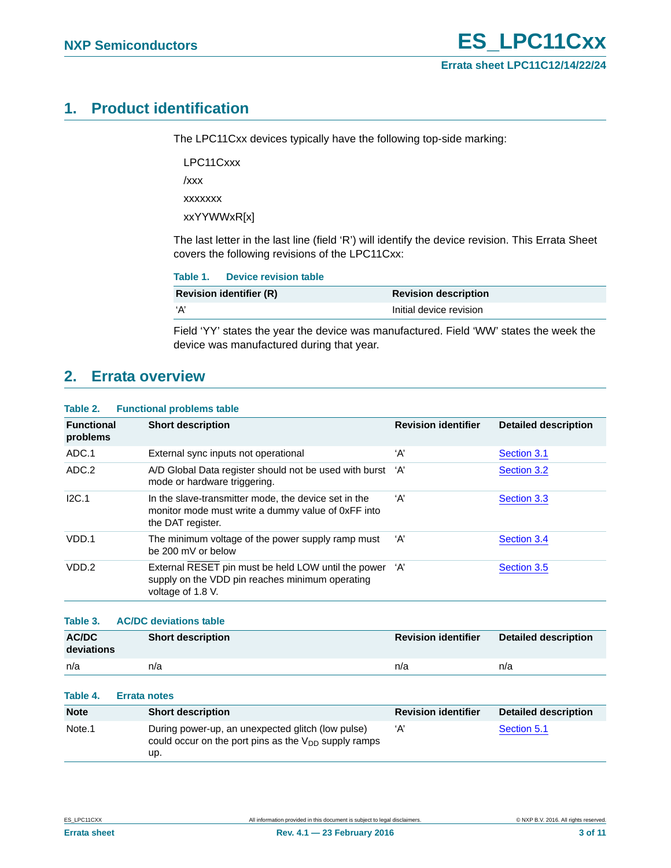# <span id="page-2-0"></span>**1. Product identification**

The LPC11Cxx devices typically have the following top-side marking:

LPC11Cxxx

/xxx

xxxxxxx

xxYYWWxR[x]

The last letter in the last line (field 'R') will identify the device revision. This Errata Sheet covers the following revisions of the LPC11Cxx:

| Table 1.<br>Device revision table |                             |
|-----------------------------------|-----------------------------|
| <b>Revision identifier (R)</b>    | <b>Revision description</b> |
| ʻA'                               | Initial device revision     |

Field 'YY' states the year the device was manufactured. Field 'WW' states the week the device was manufactured during that year.

# <span id="page-2-1"></span>**2. Errata overview**

#### **Table 2. Functional problems table**

| <b>Functional</b><br>problems | <b>Short description</b>                                                                                                        | <b>Revision identifier</b> | <b>Detailed description</b> |
|-------------------------------|---------------------------------------------------------------------------------------------------------------------------------|----------------------------|-----------------------------|
| ADC.1                         | External sync inputs not operational                                                                                            | ʻA'                        | Section 3.1                 |
| ADC.2                         | A/D Global Data register should not be used with burst 'A'<br>mode or hardware triggering.                                      |                            | Section 3.2                 |
| I2C.1                         | In the slave-transmitter mode, the device set in the<br>monitor mode must write a dummy value of 0xFF into<br>the DAT register. | ʻA'                        | Section 3.3                 |
| VDD.1                         | The minimum voltage of the power supply ramp must<br>be 200 mV or below                                                         | ʻA'                        | Section 3.4                 |
| VDD.2                         | External RESET pin must be held LOW until the power 'A'<br>supply on the VDD pin reaches minimum operating<br>voltage of 1.8 V. |                            | Section 3.5                 |

#### **Table 3. AC/DC deviations table**

| <b>AC/DC</b><br>deviations | <b>Short description</b> | <b>Revision identifier</b> | Detailed description |
|----------------------------|--------------------------|----------------------------|----------------------|
| n/a                        | n/a                      | n/a                        | n/a                  |

#### **Table 4. Errata notes**

| <b>Note</b>        | <b>Short description</b>                                                                                              | <b>Revision identifier</b> | <b>Detailed description</b> |
|--------------------|-----------------------------------------------------------------------------------------------------------------------|----------------------------|-----------------------------|
| Note <sub>.1</sub> | During power-up, an unexpected glitch (low pulse)<br>could occur on the port pins as the $V_{DD}$ supply ramps<br>up. | ʻA'                        | Section 5.1                 |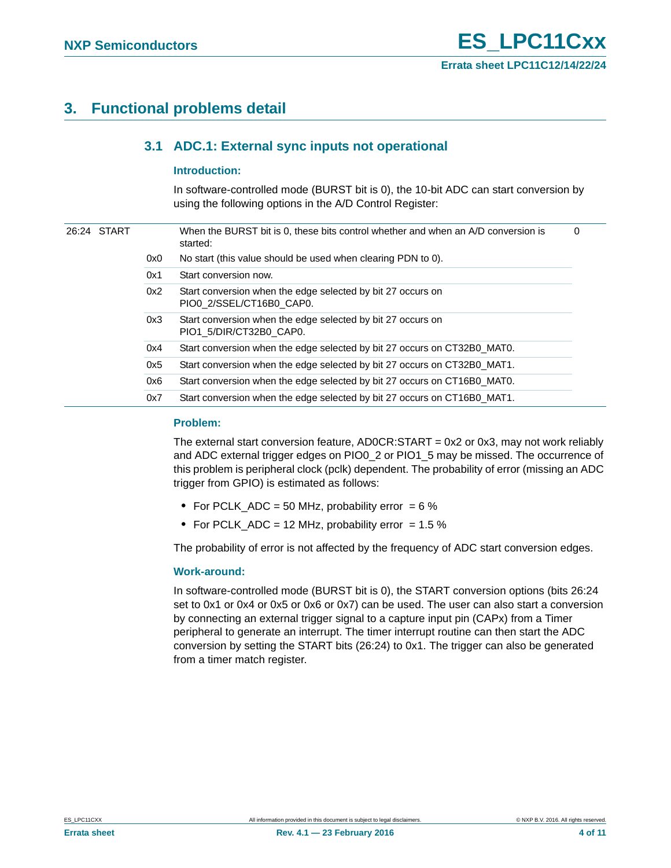# <span id="page-3-1"></span><span id="page-3-0"></span>**3. Functional problems detail**

### **3.1 ADC.1: External sync inputs not operational**

#### <span id="page-3-2"></span>**Introduction:**

In software-controlled mode (BURST bit is 0), the 10-bit ADC can start conversion by using the following options in the A/D Control Register:

| 26:24 START |     | When the BURST bit is 0, these bits control whether and when an A/D conversion is<br>started: | 0 |
|-------------|-----|-----------------------------------------------------------------------------------------------|---|
|             | 0x0 | No start (this value should be used when clearing PDN to 0).                                  |   |
|             | 0x1 | Start conversion now.                                                                         |   |
|             | 0x2 | Start conversion when the edge selected by bit 27 occurs on<br>PIO0_2/SSEL/CT16B0_CAP0.       |   |
|             | 0x3 | Start conversion when the edge selected by bit 27 occurs on<br>PIO1 5/DIR/CT32B0 CAP0.        |   |
|             | 0x4 | Start conversion when the edge selected by bit 27 occurs on CT32B0 MAT0.                      |   |
|             | 0x5 | Start conversion when the edge selected by bit 27 occurs on CT32B0 MAT1.                      |   |
|             | 0x6 | Start conversion when the edge selected by bit 27 occurs on CT16B0 MAT0.                      |   |
|             | 0x7 | Start conversion when the edge selected by bit 27 occurs on CT16B0 MAT1.                      |   |
|             |     |                                                                                               |   |

#### <span id="page-3-3"></span>**Problem:**

The external start conversion feature, AD0CR:START = 0x2 or 0x3, may not work reliably and ADC external trigger edges on PIO0\_2 or PIO1\_5 may be missed. The occurrence of this problem is peripheral clock (pclk) dependent. The probability of error (missing an ADC trigger from GPIO) is estimated as follows:

- **•** For PCLK\_ADC = 50 MHz, probability error = 6 %
- For PCLK\_ADC = 12 MHz, probability error = 1.5 %

The probability of error is not affected by the frequency of ADC start conversion edges.

#### <span id="page-3-4"></span>**Work-around:**

In software-controlled mode (BURST bit is 0), the START conversion options (bits 26:24 set to 0x1 or 0x4 or 0x5 or 0x6 or 0x7) can be used. The user can also start a conversion by connecting an external trigger signal to a capture input pin (CAPx) from a Timer peripheral to generate an interrupt. The timer interrupt routine can then start the ADC conversion by setting the START bits (26:24) to 0x1. The trigger can also be generated from a timer match register.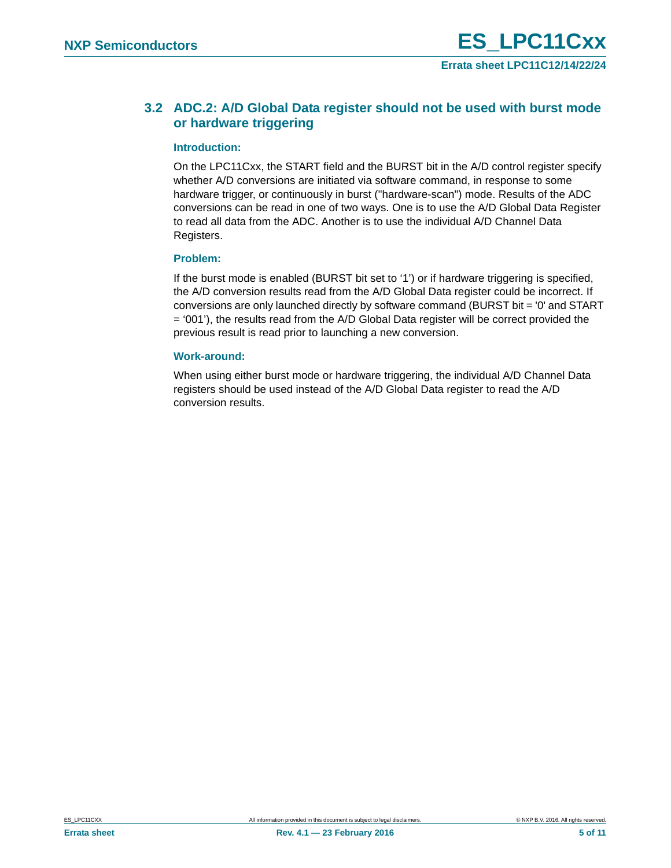### <span id="page-4-0"></span>**3.2 ADC.2: A/D Global Data register should not be used with burst mode or hardware triggering**

#### <span id="page-4-1"></span>**Introduction:**

On the LPC11Cxx, the START field and the BURST bit in the A/D control register specify whether A/D conversions are initiated via software command, in response to some hardware trigger, or continuously in burst ("hardware-scan") mode. Results of the ADC conversions can be read in one of two ways. One is to use the A/D Global Data Register to read all data from the ADC. Another is to use the individual A/D Channel Data Registers.

#### <span id="page-4-2"></span>**Problem:**

If the burst mode is enabled (BURST bit set to '1') or if hardware triggering is specified, the A/D conversion results read from the A/D Global Data register could be incorrect. If conversions are only launched directly by software command (BURST bit = '0' and START = '001'), the results read from the A/D Global Data register will be correct provided the previous result is read prior to launching a new conversion.

#### <span id="page-4-3"></span>**Work-around:**

When using either burst mode or hardware triggering, the individual A/D Channel Data registers should be used instead of the A/D Global Data register to read the A/D conversion results.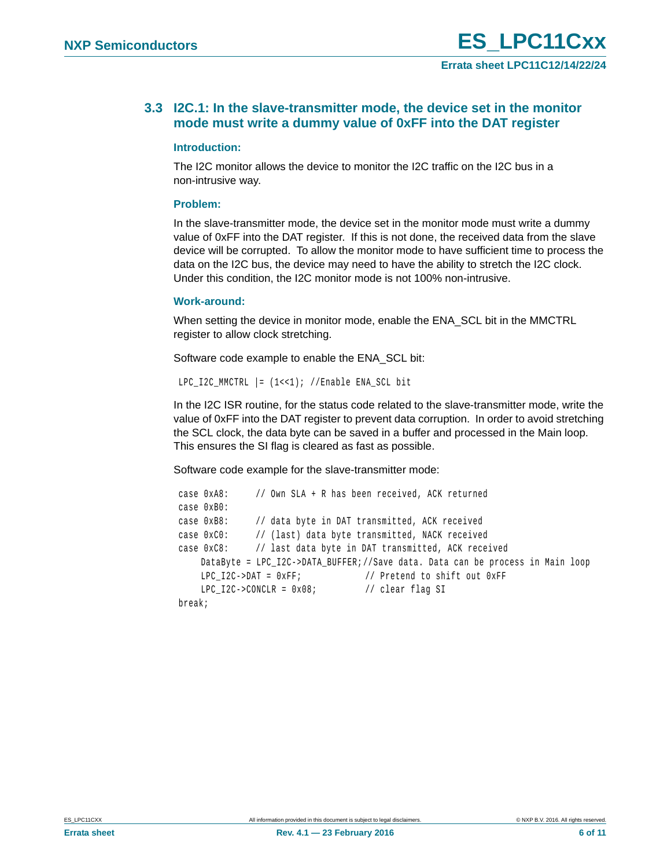### <span id="page-5-0"></span>**3.3 I2C.1: In the slave-transmitter mode, the device set in the monitor mode must write a dummy value of 0xFF into the DAT register**

#### <span id="page-5-1"></span>**Introduction:**

The I2C monitor allows the device to monitor the I2C traffic on the I2C bus in a non-intrusive way.

#### <span id="page-5-2"></span>**Problem:**

In the slave-transmitter mode, the device set in the monitor mode must write a dummy value of 0xFF into the DAT register. If this is not done, the received data from the slave device will be corrupted. To allow the monitor mode to have sufficient time to process the data on the I2C bus, the device may need to have the ability to stretch the I2C clock. Under this condition, the I2C monitor mode is not 100% non-intrusive.

#### <span id="page-5-3"></span>**Work-around:**

When setting the device in monitor mode, enable the ENA\_SCL bit in the MMCTRL register to allow clock stretching.

Software code example to enable the ENA\_SCL bit:

```
LPC I2C MMCTRL | = (1 \lt \lt 1); //Enable ENA SCL bit
```
In the I2C ISR routine, for the status code related to the slave-transmitter mode, write the value of 0xFF into the DAT register to prevent data corruption. In order to avoid stretching the SCL clock, the data byte can be saved in a buffer and processed in the Main loop. This ensures the SI flag is cleared as fast as possible.

Software code example for the slave-transmitter mode:

```
 case 0xA8: // Own SLA + R has been received, ACK returned 
case 0xB0:
case 0xB8: // data byte in DAT transmitted, ACK received
case 0xC0: // (last) data byte transmitted, NACK received
case 0xC8: // last data byte in DAT transmitted, ACK received
   DataByte = LPC_I2C->DATA_BUFFER;//Save data. Data can be process in Main loop
   LPC I2C->DAT = 0xFF; // Pretend to shift out 0xFF
   LPC_12C->CONCLR = 0x08; // clear flag SI
break;
```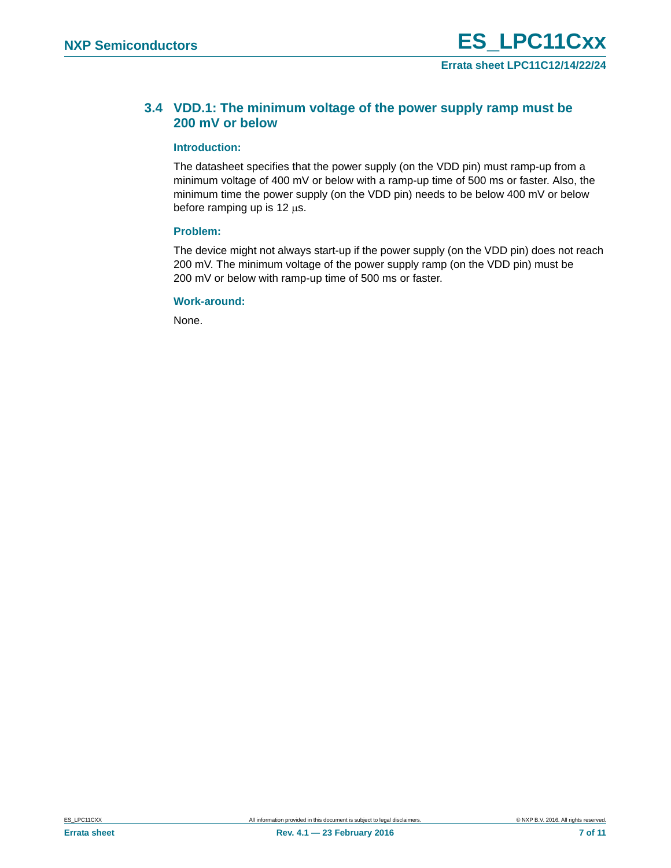### <span id="page-6-0"></span>**3.4 VDD.1: The minimum voltage of the power supply ramp must be 200 mV or below**

#### <span id="page-6-1"></span>**Introduction:**

The datasheet specifies that the power supply (on the VDD pin) must ramp-up from a minimum voltage of 400 mV or below with a ramp-up time of 500 ms or faster. Also, the minimum time the power supply (on the VDD pin) needs to be below 400 mV or below before ramping up is 12  $\mu$ s.

#### <span id="page-6-2"></span>**Problem:**

The device might not always start-up if the power supply (on the VDD pin) does not reach 200 mV. The minimum voltage of the power supply ramp (on the VDD pin) must be 200 mV or below with ramp-up time of 500 ms or faster.

#### <span id="page-6-3"></span>**Work-around:**

None.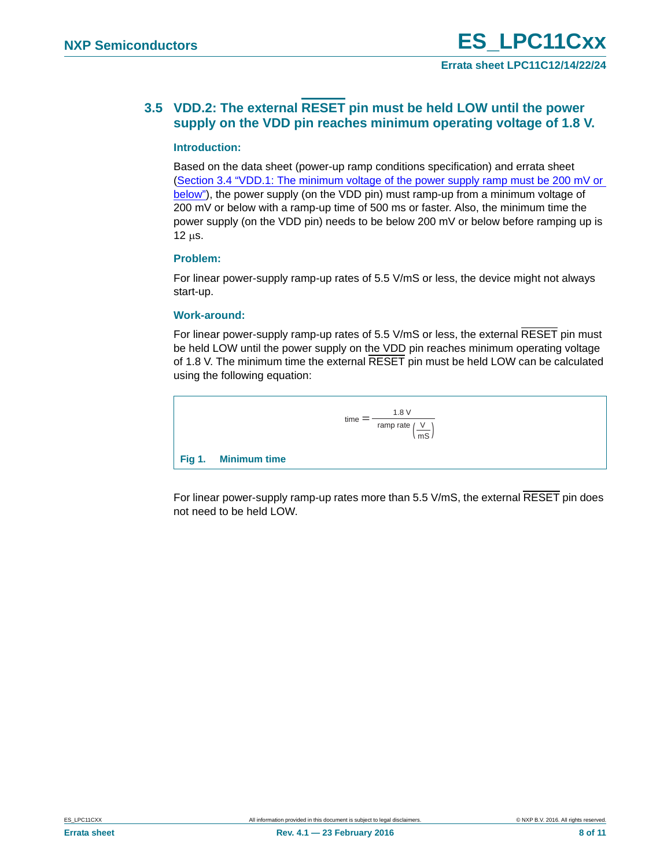### <span id="page-7-0"></span>**3.5 VDD.2: The external RESET pin must be held LOW until the power supply on the VDD pin reaches minimum operating voltage of 1.8 V.**

#### <span id="page-7-1"></span>**Introduction:**

Based on the data sheet (power-up ramp conditions specification) and errata sheet ([Section 3.4 "VDD.1: The minimum voltage of the power supply ramp must be 200 mV or](#page-6-0)  [below"\)](#page-6-0), the power supply (on the VDD pin) must ramp-up from a minimum voltage of 200 mV or below with a ramp-up time of 500 ms or faster. Also, the minimum time the power supply (on the VDD pin) needs to be below 200 mV or below before ramping up is  $12 \mu s$ .

#### <span id="page-7-2"></span>**Problem:**

For linear power-supply ramp-up rates of 5.5 V/mS or less, the device might not always start-up.

#### <span id="page-7-3"></span>**Work-around:**

For linear power-supply ramp-up rates of 5.5 V/mS or less, the external RESET pin must be held LOW until the power supply on the VDD pin reaches minimum operating voltage of 1.8 V. The minimum time the external RESET pin must be held LOW can be calculated using the following equation:



For linear power-supply ramp-up rates more than 5.5 V/mS, the external RESET pin does not need to be held LOW.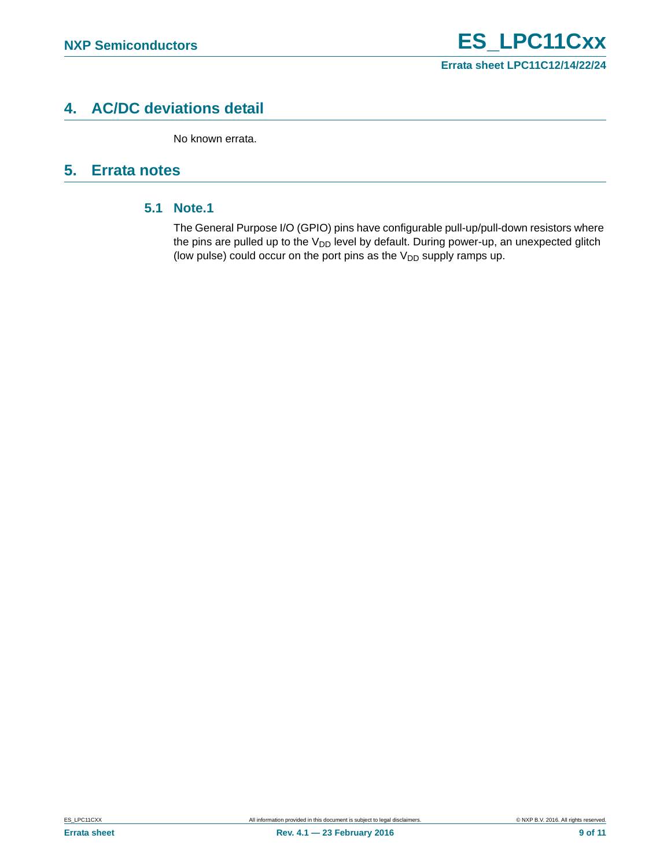# <span id="page-8-1"></span>**4. AC/DC deviations detail**

No known errata.

# <span id="page-8-2"></span><span id="page-8-0"></span>**5. Errata notes**

### **5.1 Note.1**

The General Purpose I/O (GPIO) pins have configurable pull-up/pull-down resistors where the pins are pulled up to the  $V_{DD}$  level by default. During power-up, an unexpected glitch (low pulse) could occur on the port pins as the  $V_{DD}$  supply ramps up.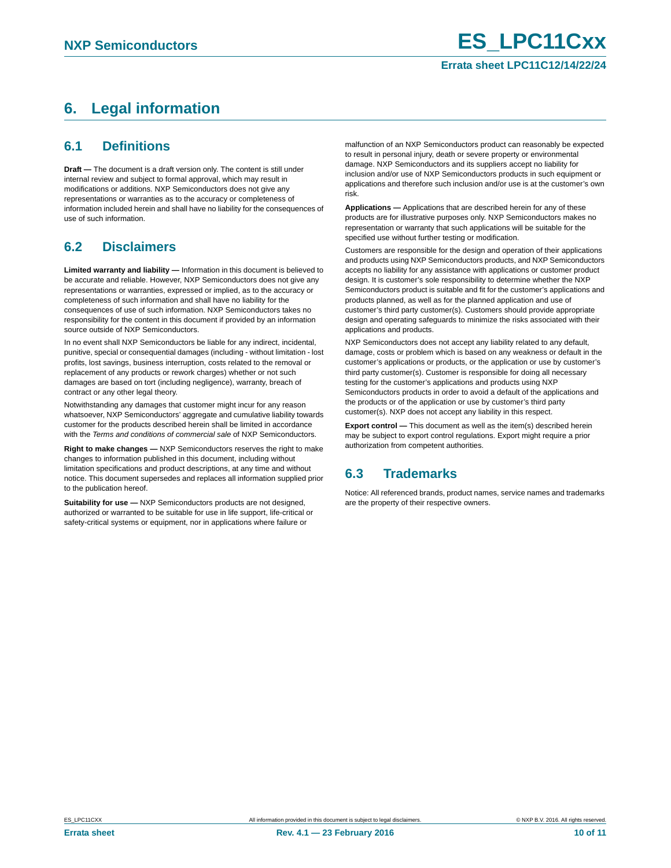# <span id="page-9-0"></span>**6. Legal information**

### <span id="page-9-1"></span>**6.1 Definitions**

**Draft —** The document is a draft version only. The content is still under internal review and subject to formal approval, which may result in modifications or additions. NXP Semiconductors does not give any representations or warranties as to the accuracy or completeness of information included herein and shall have no liability for the consequences of use of such information.

# <span id="page-9-2"></span>**6.2 Disclaimers**

**Limited warranty and liability —** Information in this document is believed to be accurate and reliable. However, NXP Semiconductors does not give any representations or warranties, expressed or implied, as to the accuracy or completeness of such information and shall have no liability for the consequences of use of such information. NXP Semiconductors takes no responsibility for the content in this document if provided by an information source outside of NXP Semiconductors.

In no event shall NXP Semiconductors be liable for any indirect, incidental, punitive, special or consequential damages (including - without limitation - lost profits, lost savings, business interruption, costs related to the removal or replacement of any products or rework charges) whether or not such damages are based on tort (including negligence), warranty, breach of contract or any other legal theory.

Notwithstanding any damages that customer might incur for any reason whatsoever, NXP Semiconductors' aggregate and cumulative liability towards customer for the products described herein shall be limited in accordance with the *Terms and conditions of commercial sale* of NXP Semiconductors.

**Right to make changes —** NXP Semiconductors reserves the right to make changes to information published in this document, including without limitation specifications and product descriptions, at any time and without notice. This document supersedes and replaces all information supplied prior to the publication hereof.

**Suitability for use —** NXP Semiconductors products are not designed, authorized or warranted to be suitable for use in life support, life-critical or safety-critical systems or equipment, nor in applications where failure or

malfunction of an NXP Semiconductors product can reasonably be expected to result in personal injury, death or severe property or environmental damage. NXP Semiconductors and its suppliers accept no liability for inclusion and/or use of NXP Semiconductors products in such equipment or applications and therefore such inclusion and/or use is at the customer's own risk.

**Applications —** Applications that are described herein for any of these products are for illustrative purposes only. NXP Semiconductors makes no representation or warranty that such applications will be suitable for the specified use without further testing or modification.

Customers are responsible for the design and operation of their applications and products using NXP Semiconductors products, and NXP Semiconductors accepts no liability for any assistance with applications or customer product design. It is customer's sole responsibility to determine whether the NXP Semiconductors product is suitable and fit for the customer's applications and products planned, as well as for the planned application and use of customer's third party customer(s). Customers should provide appropriate design and operating safeguards to minimize the risks associated with their applications and products.

NXP Semiconductors does not accept any liability related to any default, damage, costs or problem which is based on any weakness or default in the customer's applications or products, or the application or use by customer's third party customer(s). Customer is responsible for doing all necessary testing for the customer's applications and products using NXP Semiconductors products in order to avoid a default of the applications and the products or of the application or use by customer's third party customer(s). NXP does not accept any liability in this respect.

**Export control —** This document as well as the item(s) described herein may be subject to export control regulations. Export might require a prior authorization from competent authorities.

# <span id="page-9-3"></span>**6.3 Trademarks**

Notice: All referenced brands, product names, service names and trademarks are the property of their respective owners.